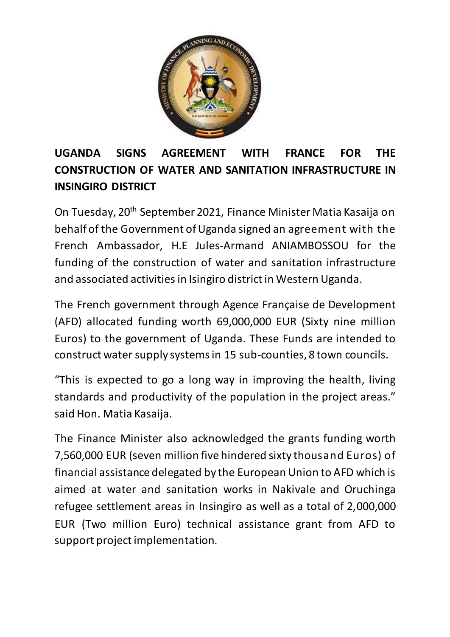

## **UGANDA SIGNS AGREEMENT WITH FRANCE FOR THE CONSTRUCTION OF WATER AND SANITATION INFRASTRUCTURE IN INSINGIRO DISTRICT**

On Tuesday, 20th September 2021, Finance Minister Matia Kasaija on behalf of the Government of Uganda signed an agreement with the French Ambassador, H.E Jules-Armand ANIAMBOSSOU for the funding of the construction of water and sanitation infrastructure and associated activities in Isingiro district in Western Uganda.

The French government through Agence Française de Development (AFD) allocated funding worth 69,000,000 EUR (Sixty nine million Euros) to the government of Uganda. These Funds are intended to construct water supply systems in 15 sub-counties, 8 town councils.

"This is expected to go a long way in improving the health, living standards and productivity of the population in the project areas." said Hon. Matia Kasaija.

The Finance Minister also acknowledged the grants funding worth 7,560,000 EUR (seven million five hindered sixty thousand Euros) of financial assistance delegated by the European Union to AFD which is aimed at water and sanitation works in Nakivale and Oruchinga refugee settlement areas in Insingiro as well as a total of 2,000,000 EUR (Two million Euro) technical assistance grant from AFD to support project implementation.